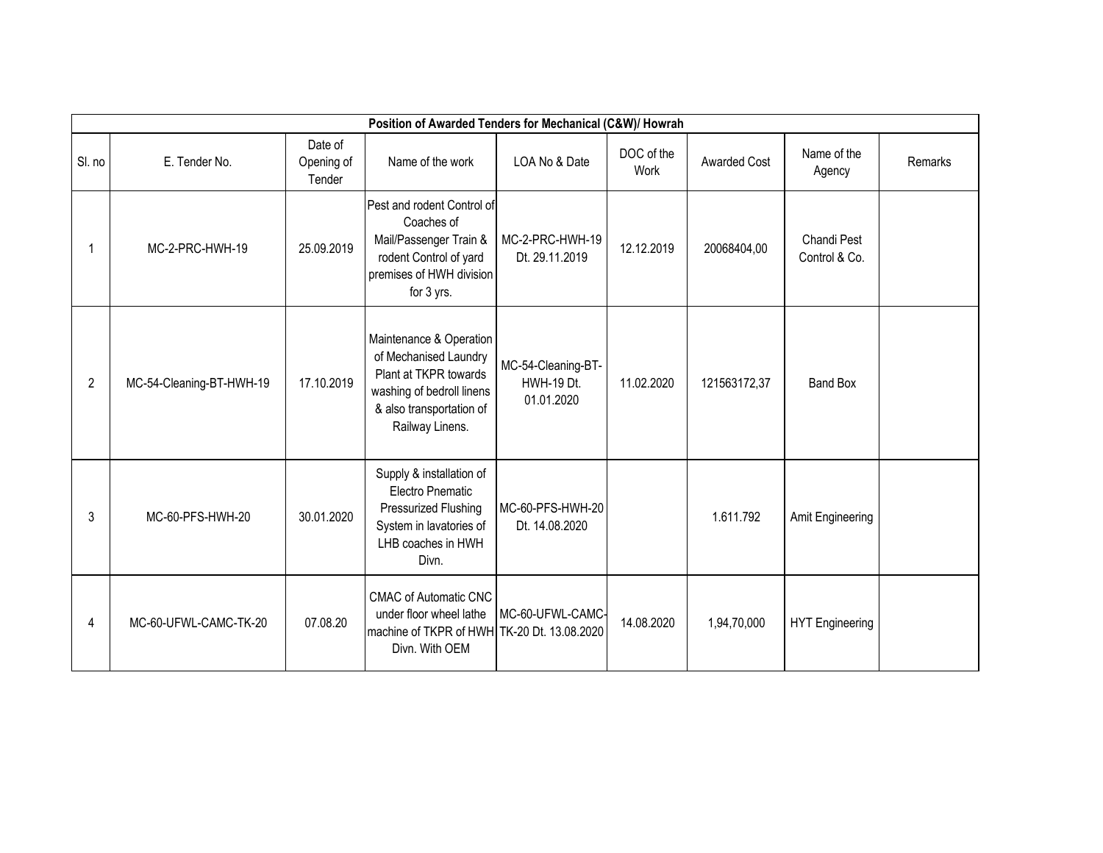| Position of Awarded Tenders for Mechanical (C&W)/ Howrah |                          |                                 |                                                                                                                                                       |                                                       |                    |                     |                              |         |  |
|----------------------------------------------------------|--------------------------|---------------------------------|-------------------------------------------------------------------------------------------------------------------------------------------------------|-------------------------------------------------------|--------------------|---------------------|------------------------------|---------|--|
| SI. no                                                   | E. Tender No.            | Date of<br>Opening of<br>Tender | Name of the work                                                                                                                                      | LOA No & Date                                         | DOC of the<br>Work | <b>Awarded Cost</b> | Name of the<br>Agency        | Remarks |  |
|                                                          | MC-2-PRC-HWH-19          | 25.09.2019                      | Pest and rodent Control of<br>Coaches of<br>Mail/Passenger Train &<br>rodent Control of yard<br>premises of HWH division<br>for 3 yrs.                | MC-2-PRC-HWH-19<br>Dt. 29.11.2019                     | 12.12.2019         | 20068404,00         | Chandi Pest<br>Control & Co. |         |  |
| 2                                                        | MC-54-Cleaning-BT-HWH-19 | 17.10.2019                      | Maintenance & Operation<br>of Mechanised Laundry<br>Plant at TKPR towards<br>washing of bedroll linens<br>& also transportation of<br>Railway Linens. | MC-54-Cleaning-BT-<br><b>HWH-19 Dt.</b><br>01.01.2020 | 11.02.2020         | 121563172,37        | Band Box                     |         |  |
| 3                                                        | MC-60-PFS-HWH-20         | 30.01.2020                      | Supply & installation of<br><b>Electro Pnematic</b><br>Pressurized Flushing<br>System in lavatories of<br>LHB coaches in HWH<br>Divn.                 | MC-60-PFS-HWH-20<br>Dt. 14.08.2020                    |                    | 1.611.792           | Amit Engineering             |         |  |
| 4                                                        | MC-60-UFWL-CAMC-TK-20    | 07.08.20                        | <b>CMAC of Automatic CNC</b><br>under floor wheel lathe<br>machine of TKPR of HWH TK-20 Dt. 13.08.2020<br>Divn. With OEM                              | MC-60-UFWL-CAMC-                                      | 14.08.2020         | 1,94,70,000         | <b>HYT Engineering</b>       |         |  |